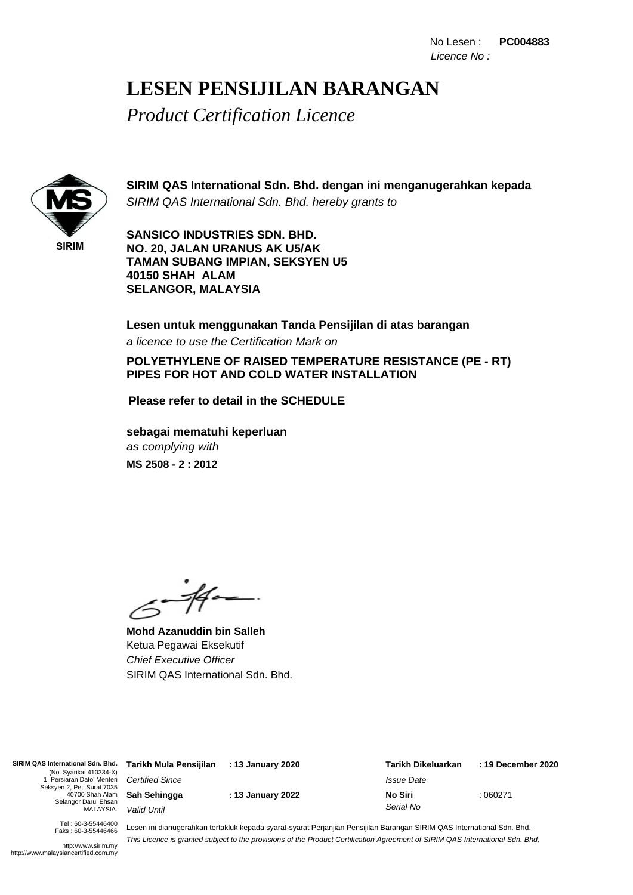## **LESEN PENSIJILAN BARANGAN**

*Product Certification Licence*



**SIRIM QAS International Sdn. Bhd. dengan ini menganugerahkan kepada** SIRIM QAS International Sdn. Bhd. hereby grants to

**SANSICO INDUSTRIES SDN. BHD. NO. 20, JALAN URANUS AK U5/AK TAMAN SUBANG IMPIAN, SEKSYEN U5 40150 SHAH ALAM SELANGOR, MALAYSIA**

**Lesen untuk menggunakan Tanda Pensijilan di atas barangan** a licence to use the Certification Mark on

**POLYETHYLENE OF RAISED TEMPERATURE RESISTANCE (PE - RT) PIPES FOR HOT AND COLD WATER INSTALLATION**

**Please refer to detail in the SCHEDULE**

as complying with **sebagai mematuhi keperluan MS 2508 - 2 : 2012**

 $-44-$ 

**Mohd Azanuddin bin Salleh** Ketua Pegawai Eksekutif Chief Executive Officer SIRIM QAS International Sdn. Bhd.

**SIRIM QAS International Sdn. Bhd.** (No. Syarikat 410334-X) 1, Persiaran Dato' Menteri Seksyen 2, Peti Surat 7035 40700 Shah Alam Selangor Darul Ehsan MALAYSIA.

Certified Since **Sah Sehingga** Valid Until

**: 13 January 2022**

: 060271 **: 13 January 2020 Tarikh Mula Pensijilan : 19 December 2020 Tarikh Dikeluarkan** Issue Date **No Siri** Serial No

Tel : 60-3-55446400 Faks : 60-3-55446466

http://www.sirim.my http://www.malaysiancertified.com.my Lesen ini dianugerahkan tertakluk kepada syarat-syarat Perjanjian Pensijilan Barangan SIRIM QAS International Sdn. Bhd. This Licence is granted subject to the provisions of the Product Certification Agreement of SIRIM QAS International Sdn. Bhd.